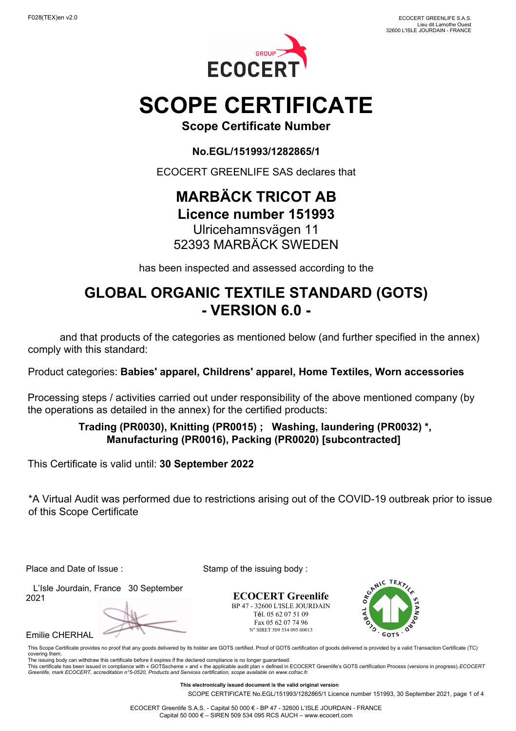

# **SCOPE CERTIFICATE**

**Scope Certificate Number**

**No.EGL/151993/1282865/1**

ECOCERT GREENLIFE SAS declares that

## **MARBÄCK TRICOT AB Licence number 151993**

## Ulricehamnsvägen 11 52393 MARBÄCK SWEDEN

has been inspected and assessed according to the

# **GLOBAL ORGANIC TEXTILE STANDARD (GOTS) - VERSION 6.0 -**

 and that products of the categories as mentioned below (and further specified in the annex) comply with this standard:

Product categories: **Babies' apparel, Childrens' apparel, Home Textiles, Worn accessories**

Processing steps / activities carried out under responsibility of the above mentioned company (by the operations as detailed in the annex) for the certified products:

### **Trading (PR0030), Knitting (PR0015) ; Washing, laundering (PR0032) \*, Manufacturing (PR0016), Packing (PR0020) [subcontracted]**

This Certificate is valid until: **30 September 2022**

\*A Virtual Audit was performed due to restrictions arising out of the COVID-19 outbreak prior to issue of this Scope Certificate

Place and Date of Issue : Stamp of the issuing body :

 L'Isle Jourdain, France 30 September 2021

Emilie CHERHAL

**ECOCERT Greenlife** BP 47 - 32600 L'ISLE JOURDAIN Tél. 05 62 07 51 09 Fax 05 62 07 74 96 N° SIRET 509 534 095 00013



This Scope Certificate provides no proof that any goods delivered by its holder are GOTS certified. Proof of GOTS certification of goods delivered is provided by a valid Transaction Certificate (TC) covering them. The issuing body can withdraw this certificate before it expires if the declared compliance is no longer guaranteed.

This certificate has been issued in compliance with « GOTSscheme » and « the applicable audit plan » defined in ECOCERT Greenlife's GOTS certification Process (versions in progress).*ECOCERT*<br>*Greenlife, mark ECOCERT, accr* 

**This electronically issued document is the valid original version**

SCOPE CERTIFICATE No.EGL/151993/1282865/1 Licence number 151993, 30 September 2021, page 1 of 4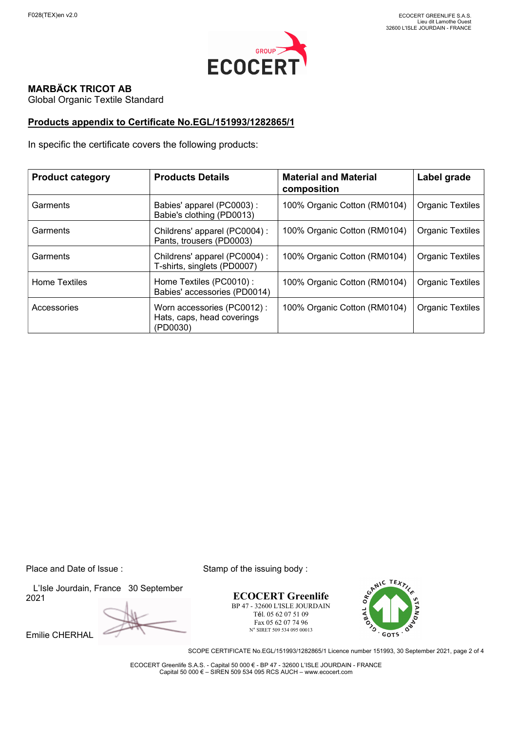

#### **MARBÄCK TRICOT AB**

Global Organic Textile Standard

#### **Products appendix to Certificate No.EGL/151993/1282865/1**

In specific the certificate covers the following products:

| <b>Product category</b> | <b>Products Details</b>                                              | <b>Material and Material</b><br>composition | Label grade             |
|-------------------------|----------------------------------------------------------------------|---------------------------------------------|-------------------------|
| Garments                | Babies' apparel (PC0003):<br>Babie's clothing (PD0013)               | 100% Organic Cotton (RM0104)                | <b>Organic Textiles</b> |
| Garments                | Childrens' apparel (PC0004):<br>Pants, trousers (PD0003)             | 100% Organic Cotton (RM0104)                | <b>Organic Textiles</b> |
| Garments                | Childrens' apparel (PC0004):<br>T-shirts, singlets (PD0007)          | 100% Organic Cotton (RM0104)                | <b>Organic Textiles</b> |
| <b>Home Textiles</b>    | Home Textiles (PC0010) :<br>Babies' accessories (PD0014)             | 100% Organic Cotton (RM0104)                | <b>Organic Textiles</b> |
| Accessories             | Worn accessories (PC0012):<br>Hats, caps, head coverings<br>(PD0030) | 100% Organic Cotton (RM0104)                | <b>Organic Textiles</b> |

 L'Isle Jourdain, France 30 September 2021

Emilie CHERHAL

Place and Date of Issue : Stamp of the issuing body :

**ECOCERT Greenlife** BP 47 - 32600 L'ISLE JOURDAIN Tél. 05 62 07 51 09 Fax 05 62 07 74 96 N° SIRET 509 534 095 00013



SCOPE CERTIFICATE No.EGL/151993/1282865/1 Licence number 151993, 30 September 2021, page 2 of 4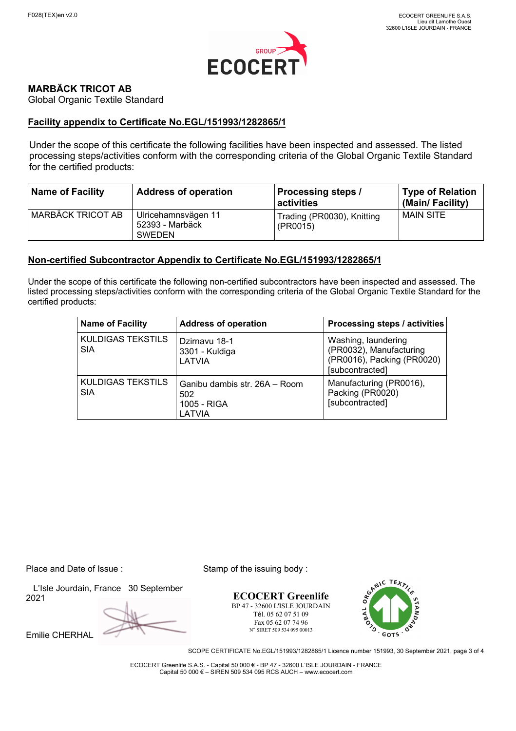

#### **MARBÄCK TRICOT AB**

Global Organic Textile Standard

#### **Facility appendix to Certificate No.EGL/151993/1282865/1**

Under the scope of this certificate the following facilities have been inspected and assessed. The listed processing steps/activities conform with the corresponding criteria of the Global Organic Textile Standard for the certified products:

| <b>Name of Facility</b> | <b>Address of operation</b>                      | <b>Processing steps /</b><br>activities | <b>Type of Relation</b><br>(Main/Facility) |
|-------------------------|--------------------------------------------------|-----------------------------------------|--------------------------------------------|
| MARBÄCK TRICOT AB       | Ulricehamnsvägen 11<br>52393 - Marbäck<br>SWEDEN | Trading (PR0030), Knitting<br>(PR0015)  | <b>MAIN SITE</b>                           |

#### **Non-certified Subcontractor Appendix to Certificate No.EGL/151993/1282865/1**

Under the scope of this certificate the following non-certified subcontractors have been inspected and assessed. The listed processing steps/activities conform with the corresponding criteria of the Global Organic Textile Standard for the certified products:

| <b>Name of Facility</b>         | <b>Address of operation</b>                                   | Processing steps / activities                                                                   |
|---------------------------------|---------------------------------------------------------------|-------------------------------------------------------------------------------------------------|
| KULDIGAS TEKSTILS<br><b>SIA</b> | Dzirnavu 18-1<br>3301 - Kuldiga<br>LATVIA                     | Washing, laundering<br>(PR0032), Manufacturing<br>(PR0016), Packing (PR0020)<br>[subcontracted] |
| KULDIGAS TEKSTILS<br><b>SIA</b> | Ganibu dambis str. 26A - Room<br>502<br>1005 - RIGA<br>LATVIA | Manufacturing (PR0016),<br>Packing (PR0020)<br>[subcontracted]                                  |

Place and Date of Issue : Stamp of the issuing body :

 L'Isle Jourdain, France 30 September 2021

Emilie CHERHAL

**ECOCERT Greenlife** BP 47 - 32600 L'ISLE JOURDAIN Tél. 05 62 07 51 09 Fax 05 62 07 74 96 N° SIRET 509 534 095 00013



SCOPE CERTIFICATE No.EGL/151993/1282865/1 Licence number 151993, 30 September 2021, page 3 of 4